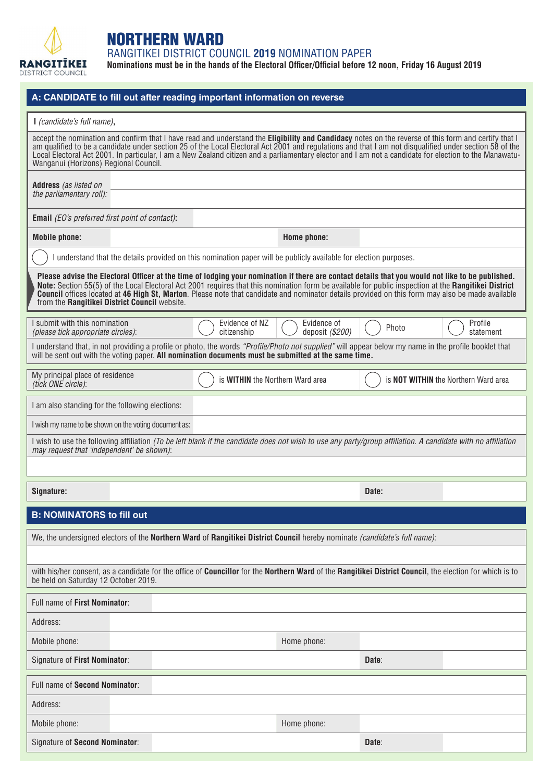

## NORTHERN WARD

RANGITIKEI DISTRICT COUNCIL **2019** NOMINATION PAPER

**Nominations must be in the hands of the Electoral Officer/Official before 12 noon, Friday 16 August 2019**

|                                                                                                                                                                                                                                                                                                                                                                                                                                                                                                               | A: CANDIDATE to fill out after reading important information on reverse                                                                                                                                                                                                                                                                                                                                                                                                  |                                             |  |  |  |  |  |
|---------------------------------------------------------------------------------------------------------------------------------------------------------------------------------------------------------------------------------------------------------------------------------------------------------------------------------------------------------------------------------------------------------------------------------------------------------------------------------------------------------------|--------------------------------------------------------------------------------------------------------------------------------------------------------------------------------------------------------------------------------------------------------------------------------------------------------------------------------------------------------------------------------------------------------------------------------------------------------------------------|---------------------------------------------|--|--|--|--|--|
| I (candidate's full name),                                                                                                                                                                                                                                                                                                                                                                                                                                                                                    |                                                                                                                                                                                                                                                                                                                                                                                                                                                                          |                                             |  |  |  |  |  |
| Wanganui (Horizons) Regional Council.                                                                                                                                                                                                                                                                                                                                                                                                                                                                         | accept the nomination and confirm that I have read and understand the Eligibility and Candidacy notes on the reverse of this form and certify that I<br>am qualified to be a candidate under section 25 of the Local Electoral Act 2001 and regulations and that I am not disqualified under section 58 of the<br>Local Electoral Act 2001. In particular, I am a New Zealand citizen and a parliamentary elector and I am not a candidate for election to the Manawatu- |                                             |  |  |  |  |  |
| Address (as listed on                                                                                                                                                                                                                                                                                                                                                                                                                                                                                         |                                                                                                                                                                                                                                                                                                                                                                                                                                                                          |                                             |  |  |  |  |  |
| the parliamentary roll):                                                                                                                                                                                                                                                                                                                                                                                                                                                                                      |                                                                                                                                                                                                                                                                                                                                                                                                                                                                          |                                             |  |  |  |  |  |
| <b>Email</b> (EO's preferred first point of contact):                                                                                                                                                                                                                                                                                                                                                                                                                                                         |                                                                                                                                                                                                                                                                                                                                                                                                                                                                          |                                             |  |  |  |  |  |
| <b>Mobile phone:</b>                                                                                                                                                                                                                                                                                                                                                                                                                                                                                          | Home phone:                                                                                                                                                                                                                                                                                                                                                                                                                                                              |                                             |  |  |  |  |  |
|                                                                                                                                                                                                                                                                                                                                                                                                                                                                                                               | I understand that the details provided on this nomination paper will be publicly available for election purposes.                                                                                                                                                                                                                                                                                                                                                        |                                             |  |  |  |  |  |
| Please advise the Electoral Officer at the time of lodging your nomination if there are contact details that you would not like to be published.<br>Note: Section 55(5) of the Local Electoral Act 2001 requires that this nomination form be available for public inspection at the Rangitikei District<br>Council offices located at 46 High St, Marton. Please note that candidate and nominator details provided on this form may also be made available<br>from the Rangitikei District Council website. |                                                                                                                                                                                                                                                                                                                                                                                                                                                                          |                                             |  |  |  |  |  |
| I submit with this nomination<br>(please tick appropriate circles):                                                                                                                                                                                                                                                                                                                                                                                                                                           | Evidence of NZ<br>Evidence of<br>deposit (\$200)<br>citizenship                                                                                                                                                                                                                                                                                                                                                                                                          | Profile<br>Photo<br>statement               |  |  |  |  |  |
|                                                                                                                                                                                                                                                                                                                                                                                                                                                                                                               | I understand that, in not providing a profile or photo, the words "Profile/Photo not supplied" will appear below my name in the profile booklet that<br>will be sent out with the voting paper. All nomination documents must be submitted at the same time.                                                                                                                                                                                                             |                                             |  |  |  |  |  |
| My principal place of residence<br>(tick ONE circle):                                                                                                                                                                                                                                                                                                                                                                                                                                                         | is <b>WITHIN</b> the Northern Ward area                                                                                                                                                                                                                                                                                                                                                                                                                                  | is <b>NOT WITHIN</b> the Northern Ward area |  |  |  |  |  |
| I am also standing for the following elections:                                                                                                                                                                                                                                                                                                                                                                                                                                                               |                                                                                                                                                                                                                                                                                                                                                                                                                                                                          |                                             |  |  |  |  |  |
| I wish my name to be shown on the voting document as:                                                                                                                                                                                                                                                                                                                                                                                                                                                         |                                                                                                                                                                                                                                                                                                                                                                                                                                                                          |                                             |  |  |  |  |  |
| may request that 'independent' be shown):                                                                                                                                                                                                                                                                                                                                                                                                                                                                     | I wish to use the following affiliation (To be left blank if the candidate does not wish to use any party/group affiliation. A candidate with no affiliation                                                                                                                                                                                                                                                                                                             |                                             |  |  |  |  |  |
|                                                                                                                                                                                                                                                                                                                                                                                                                                                                                                               |                                                                                                                                                                                                                                                                                                                                                                                                                                                                          |                                             |  |  |  |  |  |
| Signature:                                                                                                                                                                                                                                                                                                                                                                                                                                                                                                    |                                                                                                                                                                                                                                                                                                                                                                                                                                                                          | Date:                                       |  |  |  |  |  |
| <b>B: NOMINATORS to fill out</b>                                                                                                                                                                                                                                                                                                                                                                                                                                                                              |                                                                                                                                                                                                                                                                                                                                                                                                                                                                          |                                             |  |  |  |  |  |
|                                                                                                                                                                                                                                                                                                                                                                                                                                                                                                               | We, the undersigned electors of the Northern Ward of Rangitikei District Council hereby nominate (candidate's full name):                                                                                                                                                                                                                                                                                                                                                |                                             |  |  |  |  |  |
|                                                                                                                                                                                                                                                                                                                                                                                                                                                                                                               |                                                                                                                                                                                                                                                                                                                                                                                                                                                                          |                                             |  |  |  |  |  |
| with his/her consent, as a candidate for the office of Councillor for the Northern Ward of the Rangitikei District Council, the election for which is to<br>be held on Saturday 12 October 2019.                                                                                                                                                                                                                                                                                                              |                                                                                                                                                                                                                                                                                                                                                                                                                                                                          |                                             |  |  |  |  |  |
| Full name of First Nominator:                                                                                                                                                                                                                                                                                                                                                                                                                                                                                 |                                                                                                                                                                                                                                                                                                                                                                                                                                                                          |                                             |  |  |  |  |  |
| Address:                                                                                                                                                                                                                                                                                                                                                                                                                                                                                                      |                                                                                                                                                                                                                                                                                                                                                                                                                                                                          |                                             |  |  |  |  |  |
| Mobile phone:                                                                                                                                                                                                                                                                                                                                                                                                                                                                                                 | Home phone:                                                                                                                                                                                                                                                                                                                                                                                                                                                              |                                             |  |  |  |  |  |
| Signature of First Nominator:                                                                                                                                                                                                                                                                                                                                                                                                                                                                                 |                                                                                                                                                                                                                                                                                                                                                                                                                                                                          | Date:                                       |  |  |  |  |  |
| Full name of Second Nominator:                                                                                                                                                                                                                                                                                                                                                                                                                                                                                |                                                                                                                                                                                                                                                                                                                                                                                                                                                                          |                                             |  |  |  |  |  |
| Address:                                                                                                                                                                                                                                                                                                                                                                                                                                                                                                      |                                                                                                                                                                                                                                                                                                                                                                                                                                                                          |                                             |  |  |  |  |  |
| Mobile phone:                                                                                                                                                                                                                                                                                                                                                                                                                                                                                                 | Home phone:                                                                                                                                                                                                                                                                                                                                                                                                                                                              |                                             |  |  |  |  |  |
| Signature of Second Nominator:                                                                                                                                                                                                                                                                                                                                                                                                                                                                                |                                                                                                                                                                                                                                                                                                                                                                                                                                                                          | Date:                                       |  |  |  |  |  |